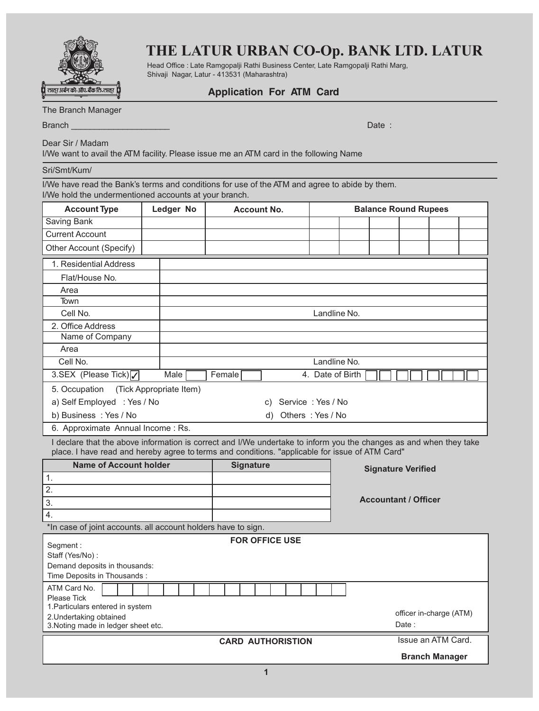

## **THE LATUR URBAN CO-Op. BANK LTD. LATUR**

Head Office : Late Ramgopalji Rathi Business Center, Late Ramgopalji Rathi Marg, Shivaji Nagar, Latur - 413531 (Maharashtra)

### **Application For ATM Card**

The Branch Manager

Branch \_\_\_\_\_\_\_\_\_\_\_\_\_\_\_\_\_\_\_\_\_ Date :

Dear Sir / Madam

I/We want to avail the ATM facility. Please issue me an ATM card in the following Name

#### Sri/Smt/Kum/

I/We have read the Bank's terms and conditions for use of the ATM and agree to abide by them. I/We hold the undermentioned accounts at your branch.

| <b>Account Type</b>               | Ledger No               | <b>Account No.</b> |                   | <b>Balance Round Rupees</b> |  |  |  |  |  |
|-----------------------------------|-------------------------|--------------------|-------------------|-----------------------------|--|--|--|--|--|
| Saving Bank                       |                         |                    |                   |                             |  |  |  |  |  |
| <b>Current Account</b>            |                         |                    |                   |                             |  |  |  |  |  |
| Other Account (Specify)           |                         |                    |                   |                             |  |  |  |  |  |
| 1. Residential Address            |                         |                    |                   |                             |  |  |  |  |  |
| Flat/House No.                    |                         |                    |                   |                             |  |  |  |  |  |
| Area                              |                         |                    |                   |                             |  |  |  |  |  |
| Town                              |                         |                    |                   |                             |  |  |  |  |  |
| Cell No.                          |                         | Landline No.       |                   |                             |  |  |  |  |  |
| 2. Office Address                 |                         |                    |                   |                             |  |  |  |  |  |
| Name of Company                   |                         |                    |                   |                             |  |  |  |  |  |
| Area                              |                         |                    |                   |                             |  |  |  |  |  |
| Cell No.                          |                         | Landline No.       |                   |                             |  |  |  |  |  |
| 3.SEX (Please Tick)√              | Male                    | Female             |                   | 4. Date of Birth            |  |  |  |  |  |
| 5. Occupation                     | (Tick Appropriate Item) |                    |                   |                             |  |  |  |  |  |
| a) Self Employed : Yes / No<br>C) |                         |                    | Service: Yes / No |                             |  |  |  |  |  |
| b) Business : Yes / No            | Others: Yes / No<br>d)  |                    |                   |                             |  |  |  |  |  |
| 6. Approximate Annual Income: Rs. |                         |                    |                   |                             |  |  |  |  |  |

I declare that the above information is correct and I/We undertake to inform you the changes as and when they take place. I have read and hereby agree to terms and conditions. "applicable for issue of ATM Card"

| <b>Name of Account holder</b>                                 | <b>Signature</b>      | <b>Signature Verified</b>   |
|---------------------------------------------------------------|-----------------------|-----------------------------|
|                                                               |                       |                             |
|                                                               |                       |                             |
| 3.                                                            |                       | <b>Accountant / Officer</b> |
|                                                               |                       |                             |
| *In case of joint accounts. all account holders have to sign. |                       |                             |
| Segment:                                                      | <b>FOR OFFICE USE</b> |                             |

| Staff (Yes/No):                     |                         |
|-------------------------------------|-------------------------|
| Demand deposits in thousands:       |                         |
| Time Deposits in Thousands:         |                         |
| ATM Card No.                        |                         |
| Please Tick                         |                         |
| 1. Particulars entered in system    |                         |
| 2. Undertaking obtained             | officer in-charge (ATM) |
| 3. Noting made in ledger sheet etc. | Date:                   |
| <b>CARD AUTHORISTION</b>            | Issue an ATM Card.      |
|                                     | <b>Branch Manager</b>   |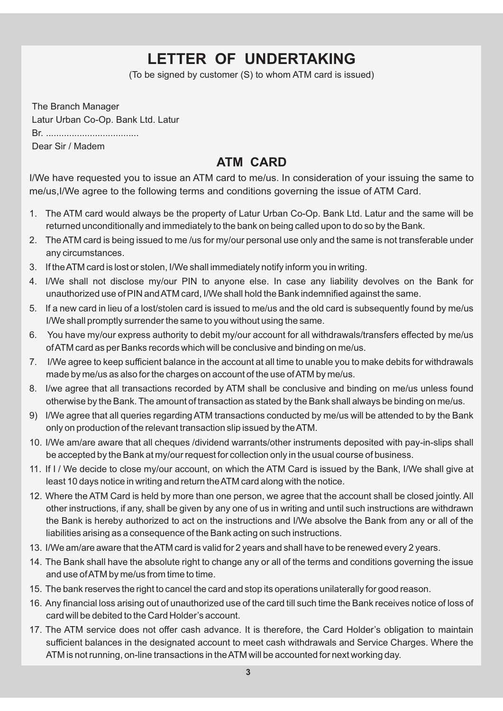# **LETTER OF UNDERTAKING**

(To be signed by customer (S) to whom ATM card is issued)

The Branch Manager Latur Urban Co-Op. Bank Ltd. Latur Br. .................................... Dear Sir / Madem

### **ATM CARD**

I/We have requested you to issue an ATM card to me/us. In consideration of your issuing the same to me/us,I/We agree to the following terms and conditions governing the issue of ATM Card.

- 1. The ATM card would always be the property of Latur Urban Co-Op. Bank Ltd. Latur and the same will be returned unconditionally and immediately to the bank on being called upon to do so by the Bank.
- 2. The ATM card is being issued to me /us for my/our personal use only and the same is not transferable under any circumstances.
- 3. If the ATM card is lost or stolen, I/We shall immediately notify inform you in writing.
- 4. I/We shall not disclose my/our PIN to anyone else. In case any liability devolves on the Bank for unauthorized use of PIN and ATM card, I/We shall hold the Bank indemnified against the same.
- 5. If a new card in lieu of a lost/stolen card is issued to me/us and the old card is subsequently found by me/us I/We shall promptly surrender the same to you without using the same.
- 6. You have my/our express authority to debit my/our account for all withdrawals/transfers effected by me/us of ATM card as per Banks records which will be conclusive and binding on me/us.
- 7. I/We agree to keep sufficient balance in the account at all time to unable you to make debits for withdrawals made by me/us as also for the charges on account of the use of ATM by me/us.
- 8. I/we agree that all transactions recorded by ATM shall be conclusive and binding on me/us unless found otherwise by the Bank. The amount of transaction as stated by the Bank shall always be binding on me/us.
- 9) I/We agree that all queries regarding ATM transactions conducted by me/us will be attended to by the Bank only on production of the relevant transaction slip issued by the ATM.
- 10. I/We am/are aware that all cheques /dividend warrants/other instruments deposited with pay-in-slips shall be accepted by the Bank at my/our request for collection only in the usual course of business.
- 11. If I / We decide to close my/our account, on which the ATM Card is issued by the Bank, I/We shall give at least 10 days notice in writing and return the ATM card along with the notice.
- 12. Where the ATM Card is held by more than one person, we agree that the account shall be closed jointly. All other instructions, if any, shall be given by any one of us in writing and until such instructions are withdrawn the Bank is hereby authorized to act on the instructions and I/We absolve the Bank from any or all of the liabilities arising as a consequence of the Bank acting on such instructions.
- 13. I/We am/are aware that the ATM card is valid for 2 years and shall have to be renewed every 2 years.
- 14. The Bank shall have the absolute right to change any or all of the terms and conditions governing the issue and use of ATM by me/us from time to time.
- 15. The bank reserves the right to cancel the card and stop its operations unilaterally for good reason.
- 16. Any financial loss arising out of unauthorized use of the card till such time the Bank receives notice of loss of card will be debited to the Card Holder's account.
- 17. The ATM service does not offer cash advance. It is therefore, the Card Holder's obligation to maintain sufficient balances in the designated account to meet cash withdrawals and Service Charges. Where the ATM is not running, on-line transactions in the ATM will be accounted for next working day.